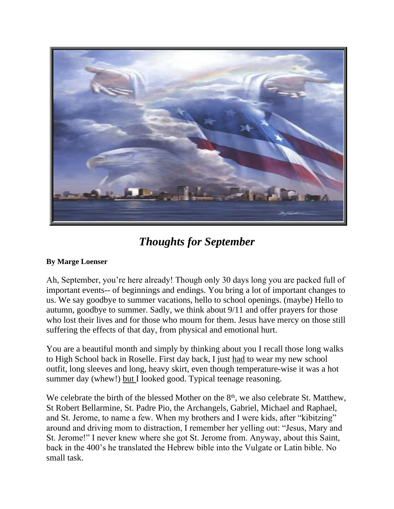

## *Thoughts for September*

## **By Marge Loenser**

Ah, September, you're here already! Though only 30 days long you are packed full of important events-- of beginnings and endings. You bring a lot of important changes to us. We say goodbye to summer vacations, hello to school openings. (maybe) Hello to autumn, goodbye to summer. Sadly, we think about 9/11 and offer prayers for those who lost their lives and for those who mourn for them. Jesus have mercy on those still suffering the effects of that day, from physical and emotional hurt.

You are a beautiful month and simply by thinking about you I recall those long walks to High School back in Roselle. First day back, I just had to wear my new school outfit, long sleeves and long, heavy skirt, even though temperature-wise it was a hot summer day (whew!) but I looked good. Typical teenage reasoning.

We celebrate the birth of the blessed Mother on the  $8<sup>th</sup>$ , we also celebrate St. Matthew, St Robert Bellarmine, St. Padre Pio, the Archangels, Gabriel, Michael and Raphael, and St. Jerome, to name a few. When my brothers and I were kids, after "kibitzing" around and driving mom to distraction, I remember her yelling out: "Jesus, Mary and St. Jerome!" I never knew where she got St. Jerome from. Anyway, about this Saint, back in the 400's he translated the Hebrew bible into the Vulgate or Latin bible. No small task.